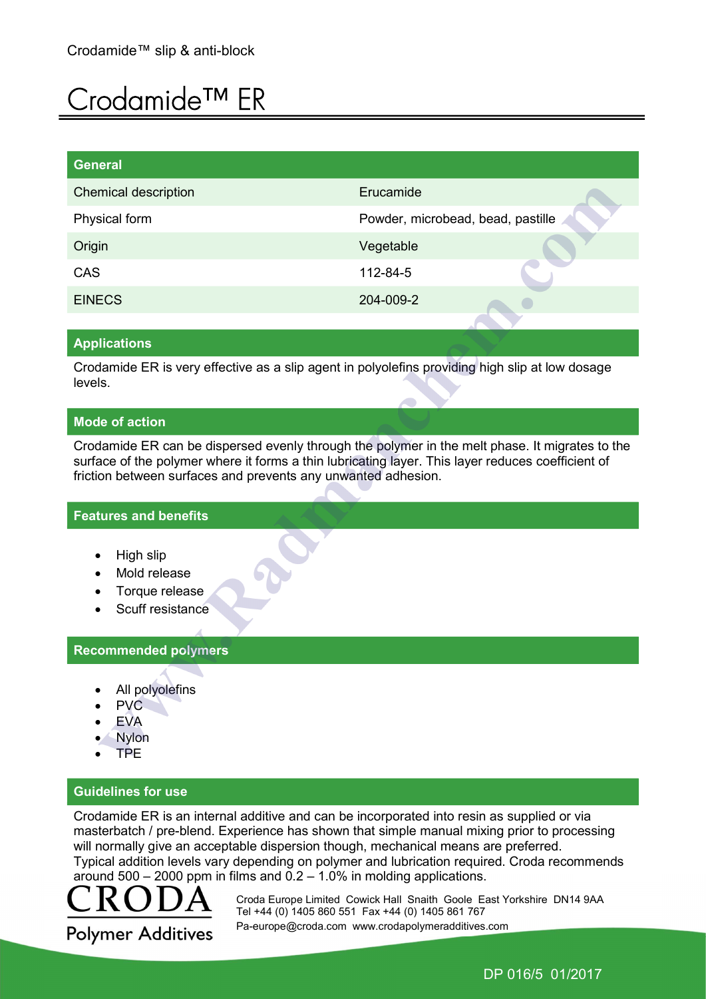# Crodamide™ ER

| General                     |                                   |
|-----------------------------|-----------------------------------|
| <b>Chemical description</b> | Erucamide                         |
| Physical form               | Powder, microbead, bead, pastille |
| Origin                      | Vegetable                         |
| CAS                         | 112-84-5                          |
| <b>EINECS</b>               | 204-009-2                         |

#### Applications

Crodamide ER is very effective as a slip agent in polyolefins providing high slip at low dosage levels.

#### Mode of action

Crodamide ER can be dispersed evenly through the polymer in the melt phase. It migrates to the surface of the polymer where it forms a thin lubricating layer. This layer reduces coefficient of friction between surfaces and prevents any unwanted adhesion.

#### Features and benefits

- High slip
- Mold release
- Torque release
- Scuff resistance

## Recommended polymers

- All polyolefins
- PVC
- EVA
- Nylon
- TPE

#### Guidelines for use

Crodamide ER is an internal additive and can be incorporated into resin as supplied or via masterbatch / pre-blend. Experience has shown that simple manual mixing prior to processing will normally give an acceptable dispersion though, mechanical means are preferred. Typical addition levels vary depending on polymer and lubrication required. Croda recommends around  $500 - 2000$  ppm in films and  $0.2 - 1.0\%$  in molding applications.



 Croda Europe Limited Cowick Hall Snaith Goole East Yorkshire DN14 9AA Tel +44 (0) 1405 860 551 Fax +44 (0) 1405 861 767 Pa-europe@croda.com www.crodapolymeradditives.com

DP 016/5 01/2017